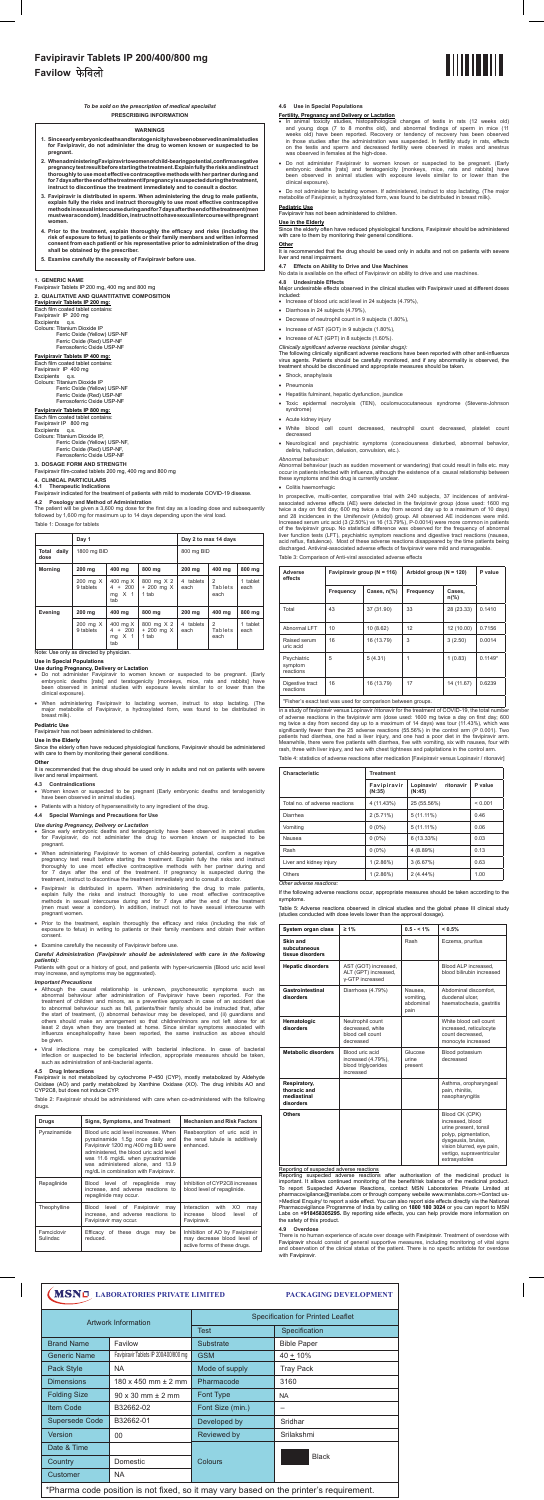## **Favipiravir Tablets IP 200/400/800 mg Favilow**

## *To be sold on the prescription of medical specialist* **PRESCRIBING INFORMATION**

## **1. GENERIC NAME**

Favipiravir Tablets IP 200 mg, 400 mg and 800 mg

**2. QUALITATIVE AND QUANTITATIVE COMPOSITION** 

**Favipiravir Tablets IP 200 mg:** Each film coated tablet contains: Favipiravir IP 200 mg

Excipients q.s. Colours: Titanium Dioxide IP Ferric Oxide (Yellow) USP-NF Ferric Oxide (Red) USP-NF Ferrosoferric Oxide USP-NF

## Ferrosoferric Oxide USP-NF **3. DOSAGE FORM AND STRENGTH**

## **Favipiravir Tablets IP 400 mg:**

Each film coated tablet contains: Favipiravir IP 400 mg Excipients q.s. Colours: Titanium Dioxide IP Ferric Oxide (Yellow) USP-NF Ferric Oxide (Red) USP-NF Ferrosoferric Oxide USP-NF

## **Favipiravir Tablets IP 800 mg:**

Each film coated tablet contains: Favipiravir IP 800 mg Excipients q.s. Colours: Titanium Dioxide IP, Ferric Oxide (Yellow) USP-NF, Ferric Oxide (Red) USP-NF,

Favipiravir film-coated tablets 200 mg, 400 mg and 800 mg

## **4. CLINICAL PARTICULARS**

**4.1 Therapeutic Indications** Favipiravir indicated for the treatment of patients with mild to moderate COVID-19 disease.

## **4.2 Posology and Method of Administration**

- Do not administer Favipiravir to women known or suspected to be pregnant. (Early<br>embryonic deaths [rats] and teratogenicity [monkeys, mice, rats and rabbits] have<br>been observed in animal studies with exposure levels simila clinical exposure).
- • When administering Favipiravir to lactating women, instruct to stop lactating. (The major metabolite of Favipiravir, a hydroxylated form, was found to be distributed in breast milk).

The patient will be given a 3,600 mg dose for the first day as a loading dose and subsequently followed by 1,600 mg for maximum up to 14 days depending upon the viral load. Table 1: Dosage for tablets

|  | $\sim$ |  |  |
|--|--------|--|--|
|  |        |  |  |
|  |        |  |  |
|  |        |  |  |

It is recommended that the drug should be used only in adults and not on patients with severe liver and renal impairment.

|                                                                        | Day 1                 |                                                      | Day 2 to max 14 days                 |                                   |                                   |                  |
|------------------------------------------------------------------------|-----------------------|------------------------------------------------------|--------------------------------------|-----------------------------------|-----------------------------------|------------------|
| Total<br>daily<br>dose                                                 | 1800 mg BID           |                                                      |                                      | 800 mg BID                        |                                   |                  |
| <b>Morning</b>                                                         | 200 mg                | 400 mg                                               | 800 ma                               | 200 mg                            | 400 mg                            | 800 mg           |
| 200 mg X<br>400 mg X<br>9 tablets<br>$4 + 200$<br>$mg \times 1$<br>tab |                       | 800 mg X 2<br>$+200$ mg $X$<br>1 tab                 | 4 tablets<br>each                    | $\overline{2}$<br>Tablets<br>each | 1 tablet<br>each                  |                  |
| Evening<br>200 mg                                                      |                       | 400 mg                                               | 800 mg                               | 200 mg                            | 400 ma                            | 800 mg           |
|                                                                        | 200 mg X<br>9 tablets | 400 mg X<br>$4 + 200$<br>X <sub>1</sub><br>mg<br>tab | 800 mg X 2<br>$+200$ mg $X$<br>1 tab | tablets<br>4<br>each              | $\overline{2}$<br>Tablets<br>each | 1 tablet<br>each |

Note: Use only as directed by physician.

### **Use in Special Populations Use during Pregnancy, Delivery or Lactation**

- • Although the causal relationship is unknown, psychoneurotic symptoms such as abnormal behaviour after administration of Favipiravir have been reported. For the treatment of children and minors, as a preventive approach in case of an accident due to abnormal behaviour such as fall, patients/their family should be instructed that, after<br>the start of treatment, (i) abnormal behaviour may be developed, and (ii) guardians and<br>others should make an arrangement so that c be given.
- • Viral infections may be complicated with bacterial infections. In case of bacterial infection or suspected to be bacterial infection, appropriate measures should be taken, such as administration of anti-bacterial agents.

## **Pediatric Use**

Favipiravir has not been administered to children.

**Use in the Elderly**<br>Since the elderly often have reduced physiological functions, Favipiravir should be administered<br>with care to them by monitoring their general conditions.

## **Other**

Table 2: Favipiravir should be administered with care when co-administered with the following drugs

- **4.3 Contraindications**
- **•** Women to be pregnant (Early embryonic deaths and teratogenicity **S** Commandications<br>Women known or suspected to be p<br>have been observed in animal studies).
- • Patients with a history of hypersensitivity to any ingredient of the drug. **4.4 Special Warnings and Precautions for Use**

## *Use during Pregnancy, Delivery or Lactation*

- • Since early embryonic deaths and teratogenicity have been observed in animal studies for Favipiravir, do not administer the drug to women known or suspected to be pregnant.
- • When administering Favipiravir to women of child-bearing potential, confirm a negative pregnancy test result before starting the treatment. Explain fully the risks and instruct thoroughly to use most effective contraceptive methods with her partner during and for 7 days after the end of the treatment. If pregnancy is suspected during the treatment, instruct to discontinue the treatment immediately and to consult a doctor.
- In animal toxicity studies, histopathological changes of testis in rats (12 weeks old) and young dogs (7 to 8 months old), and abnormal findings of sperm in mice (11 weeks old) have been reported. Recovery or tendency of
- Do not administer Favipiravir to women known or suspected to be pregnant. (Early<br>embryonic deaths [rats] and teratogenicity [monkeys, mice, rats and rabbits] have<br>been observed in animal studies with exposure levels simila clinical exposure).

### *Careful Administration (Favipiravir should be administered with care in the following patients):*

Patients with gout or a history of gout, and patients with hyper-uricaemia (Blood uric acid level may increase, and symptoms may be aggravated).

## *Important Precautions*

*Abnormal behaviour:* Abnormal behaviour (such as sudden movement or wandering) that could result in falls etc. may<br>occur in patients infected with influenza, although the existence of a causal relationship between<br>these symptoms and this drug

## • Colitis haemorrhagic

In prospective, multi-center, comparative trial with 240 subjects, 37 incidences of antiviral-<br>associated adverse effects (AE) were detected in the favipiravir group (does used: 1600 mg<br>wice a day on first day; 600 mg twi liver function tests (LFT), psychiatric symptom reactions and digestive tract reactions (nausea, acid reflux, flatulence). Most of these adverse reactions disappeared by the time patients being discharged. Antiviral-associated adverse effects of favipiravir were mild and manageable.

## **4.5 Drug Interactions**

Favipiravir is not metabolized by cytochrome P-450 (CYP), mostly metabolized by Aldehyde Oxidase (AO) and partly metabolized by Xanthine Oxidase (XO). The drug inhibits AO and CYP2C8, but does not induce CYP.

| Drugs                   | Signs, Symptoms, and Treatment                                                                                                                                                                                                                                                 | <b>Mechanism and Risk Factors</b>                                                              |  |  |
|-------------------------|--------------------------------------------------------------------------------------------------------------------------------------------------------------------------------------------------------------------------------------------------------------------------------|------------------------------------------------------------------------------------------------|--|--|
| Pyrazinamide            | Blood uric acid level increases. When<br>pyrazinamide 1.5g once daily and<br>Favipiravir 1200 mg /400 mg BID were<br>administered, the blood uric acid level<br>was 11.6 mg/dL when pyrazinamide<br>was administered alone, and 13.9<br>mg/dL in combination with Favipiravir. | Reabsorption of uric acid in<br>the renal tubule is additively<br>enhanced.                    |  |  |
| Repaglinide             | Blood level of repaglinide may<br>increase, and adverse reactions to<br>repaglinide may occur.                                                                                                                                                                                 | Inhibition of CYP2C8 increases<br>blood level of repaglinide.                                  |  |  |
| Theophylline            | Blood level of Favipiravir may<br>increase, and adverse reactions to<br>Favipiravir may occur.                                                                                                                                                                                 | Interaction with<br>XO<br>may<br>blood<br>level<br>of<br>increase<br>Favipiravir.              |  |  |
| Famciclovir<br>Sulindac | be<br>Efficacy of these drugs may<br>reduced.                                                                                                                                                                                                                                  | Inhibition of AO by Favipiravir<br>may decrease blood level of<br>active forms of these drugs. |  |  |

## **4.6 Use in Special Populations**

## **Fertility, Pregnancy and Delivery or Lactation**

<u>Reporting of suspected adverse reactions</u><br>Reporting suspected adverse reactions after authorisation of the medicinal product is important. It allows continued monitoring of the benefit/risk balance of the medicinal product. To report Suspected Adverse Reactions, contact MSN Laboratories Private Limited at<br>pharmacovigilance@msnlabs.com or through company website www.msnlabs.com->Contact us-<br>>Medical Enquiry/ to report a side effect. You can al the safety of this product.

• Do not administer to lactating women. If administered, instruct to stop lactating. (The major metabolite of Favipiravir, a hydroxylated form, was found to be distributed in breast milk).

## **Pediatric Use**

Favipiravir has not been administered to children.

**<u>Use in the Elderly</u>**<br>Since the elderly often have reduced physiological functions, Favipiravir should be administered<br>with care to them by monitoring their general conditions.

### **Other** It is recommended that the drug should be used only in adults and not on patients with severe liver and renal impairment.

**4.7 Effects on Ability to Drive and Use Machines**

No data is available on the effect of Favipiravir on ability to drive and use machines.

**4.8 Undesirable Effects** Major undesirable effects observed in the clinical studies with Favipiravir used at different doses included:

- • Increase of blood uric acid level in 24 subjects (4.79%),
- • Diarrhoea in 24 subjects (4.79%),
- • Decrease of neutrophil count in 9 subjects (1.80%),
- Increase of AST (GOT) in 9 subjects (1.80%).
- Increase of ALT (GPT) in 8 subjects (1.60%).
- *Clinically significant adverse reactions (similar drugs):*

The following clinically significant adverse reactions have been reported with other anti-influenza<br>virus agents. Patients should be carefully monitored, and if any abnormality is observed, the<br>treatment should be disconti

- • Shock, anaphylaxis
- • Pneumonia
- • Hepatitis fulminant, hepatic dysfunction, jaundice
- • Toxic epidermal necrolysis (TEN), oculomucocutaneous syndrome (Stevens-Johnson syndrome)
- • Acute kidney injury
- • White blood cell count decreased, neutrophil count decreased, platelet count decreased
- • Neurological and psychiatric symptoms (consciousness disturbed, abnormal behavior, deliria, hallucination, delusion, convulsion, etc.).

Table 3: Comparison of Anti-viral associated adverse effects

| Adverse<br>effects                  | Favipiravir group (N = 116) |                       | Arbidol group ( $N = 120$ ) | P value                  |           |
|-------------------------------------|-----------------------------|-----------------------|-----------------------------|--------------------------|-----------|
|                                     | Frequency                   | Cases, $n\frac{9}{6}$ | Frequency                   | Cases,<br>$n\frac{9}{6}$ |           |
| Total                               | 43                          | 37 (31.90)            | 33                          | 28 (23.33)               | 0.1410    |
| Abnormal LFT                        | 10                          | 10(8.62)              | 12                          | 12 (10.00)               | 0.7156    |
| Raised serum<br>uric acid           | 16                          | 16 (13.79)            | 3                           | 3(2.50)                  | 0.0014    |
| Psychiatric<br>symptom<br>reactions | 5                           | 5(4.31)               |                             | 1(0.83)                  | $0.1149*$ |
| Digestive tract<br>reactions        | 16                          | 16 (13.79)            | 17                          | 14 (11.67)               | 0.6239    |

\*Fisher's exact test was used for comparison between groups.

In a study of favipiravir versus Lopinavir /ritonavir for the treatment of COVID-19, the total number<br>of adverse reactions in the favipiravir arm (dose used: 1600 mg twice a day on first day; 600<br>mg twice a day form secon

Table 4: statistics of adverse reactions after medication [Favipiravir versus Lopinavir / ritonavir]

| Characteristic                 | <b>Treatment</b>      |                                   |         |  |  |  |
|--------------------------------|-----------------------|-----------------------------------|---------|--|--|--|
|                                | Favipiravir<br>(N:35) | ritonavir<br>Lopinavir/<br>(N:45) | P value |  |  |  |
| Total no. of adverse reactions | 4 (11.43%)            | 25 (55.56%)                       | < 0.001 |  |  |  |
| Diarrhea                       | $2(5.71\%)$           | $5(11.11\%)$                      | 0.46    |  |  |  |
| Vomitina                       | $0(0\%)$              | $5(11.11\%)$                      | 0.06    |  |  |  |
| Nausea                         | $0(0\%)$              | $6(13.33\%)$                      | 0.03    |  |  |  |
| Rash                           | $0(0\%)$              | 4(8.89%)                          | 0.13    |  |  |  |
| Liver and kidney injury        | 1(2.86%)              | 3(6.67%)                          | 0.63    |  |  |  |
| Others                         | 1(2.86%)              | $2(4.44\%)$                       | 1.00    |  |  |  |

*Other adverse reactions:*



- Favipiravir is distributed in sperm. When administering the drug to male patients,<br>explain fully the risks and instruct thoroughly to use most effective contraceptive<br>methods in sexual intercourse during and for 7 days aft (men must wear a condom). In addition, instruct not to have sexual intercourse with pregnant women.
- • Prior to the treatment, explain thoroughly the efficacy and risks (including the risk of exposure to fetus) in writing to patients or their family members and obtain their written consent.
- **Examine carefully the necessity of Favipiravir before use.**

If the following adverse reactions occur, appropriate measures should be taken according to the symptoms.

Table 5: Adverse reactions observed in clinical studies and the global phase III clinical study (studies conducted with dose levels lower than the approval dosage).

| System organ class                                       | $\geq 1\%$                                                                | $0.5 - 1\%$                               | < 0.5%                                                                                                                                                                               |
|----------------------------------------------------------|---------------------------------------------------------------------------|-------------------------------------------|--------------------------------------------------------------------------------------------------------------------------------------------------------------------------------------|
| Skin and<br>subcutaneous<br>tissue disorders             |                                                                           | Rash                                      | Eczema, pruritus                                                                                                                                                                     |
| <b>Hepatic disorders</b>                                 | AST (GOT) increased,<br>ALT (GPT) increased,<br>v-GTP increased           |                                           | Blood ALP increased.<br>blood bilirubin increased                                                                                                                                    |
| Gastrointestinal<br>disorders                            | Diarrhoea (4.79%)                                                         | Nausea.<br>vomitina.<br>abdominal<br>pain | Abdominal discomfort.<br>duodenal ulcer,<br>haematochezia, gastritis                                                                                                                 |
| Hematologic<br>disorders                                 | Neutrophil count<br>decreased, white<br>blood cell count<br>decreased     |                                           | White blood cell count<br>increased, reticulocyte<br>count decreased.<br>monocyte increased                                                                                          |
| <b>Metabolic disorders</b>                               | Blood uric acid<br>increased (4.79%),<br>blood triglycerides<br>increased | Glucose<br>urine<br>present               | Blood potassium<br>decreased                                                                                                                                                         |
| Respiratory,<br>thoracic and<br>mediastinal<br>disorders |                                                                           |                                           | Asthma, oropharyngeal<br>pain, rhinitis,<br>nasopharyngitis                                                                                                                          |
| <b>Others</b>                                            |                                                                           |                                           | Blood CK (CPK)<br>increased, blood<br>urine present, tonsil<br>polyp, pigmentation,<br>dysgeusia, bruise,<br>vision blurred, eye pain,<br>vertigo, supraventricular<br>extrasystoles |

## **4.9 Overdose**

There is no human experience of acute over dosage with Favipiravir. Treatment of overdose with<br>Favipiravir should consist of general supportive measures, including monitoring of vital signs<br>and observation of the clinical with Favipiravir

### **WARNINGS**

- **1. Since early embryonic deaths and teratogenicity have been observed in animal studies for Favipiravir, do not administer the drug to women known or suspected to be pregnant.**
- **2. When administering Favipiravir to women of child-bearing potential, confirm a negative pregnancy test result before starting the treatment. Explain fully the risks and instruct thoroughly to use most effective contraceptive methods with her partner during and for 7 days after the end of the treatment If pregnancy is suspected during the treatment, instruct to discontinue the treatment immediately and to consult a doctor.**
- 3. Favipiravir is distributed in sperm. When administering the drug to male patients, explain fully the risks and instruct thoroughly to use most effective contraceptive methods in sexual intercourseduring and for 7 days a
- 4. Prior to the treatment, explain thoroughly the efficacy and risks (including the risk of exposure to fetus) to patients or their family members and written informed consent from each patient/ or his representative prior
- **5. Examine carefully the necessity of Favipiravir before use.**

## **LABORATORIES PRIVATE LIMITED PACKAGING DEVELOPMENT**

| <b>Artwork Information</b>                                                             |                                       | <b>Specification for Printed Leaflet</b> |                    |  |  |  |
|----------------------------------------------------------------------------------------|---------------------------------------|------------------------------------------|--------------------|--|--|--|
|                                                                                        |                                       | <b>Test</b>                              | Specification      |  |  |  |
| <b>Brand Name</b>                                                                      | Favilow                               | <b>Substrate</b>                         | <b>Bible Paper</b> |  |  |  |
| <b>Generic Name</b>                                                                    | Favipiravir Tablets IP 200/400/800 mg | <b>GSM</b>                               | $40 + 10%$         |  |  |  |
| Pack Style                                                                             | NA.                                   | Mode of supply                           | <b>Tray Pack</b>   |  |  |  |
| <b>Dimensions</b>                                                                      | $180 \times 450$ mm $\pm 2$ mm        | Pharmacode                               | 3160               |  |  |  |
| <b>Folding Size</b><br>$90 \times 30$ mm $\pm 2$ mm                                    |                                       | <b>Font Type</b>                         | <b>NA</b>          |  |  |  |
| <b>Item Code</b><br>B32662-02                                                          |                                       | Font Size (min.)                         |                    |  |  |  |
| <b>Supersede Code</b>                                                                  | B32662-01                             | Developed by                             | Sridhar            |  |  |  |
| <b>Version</b>                                                                         | $00 \,$                               | Reviewed by                              | Srilakshmi         |  |  |  |
| Date & Time                                                                            |                                       |                                          |                    |  |  |  |
| Country<br>Domestic                                                                    |                                       | Colours                                  | <b>Black</b>       |  |  |  |
| <b>NA</b><br>Customer                                                                  |                                       |                                          |                    |  |  |  |
| *Pharma code position is not fixed, so it may vary based on the printer's requirement. |                                       |                                          |                    |  |  |  |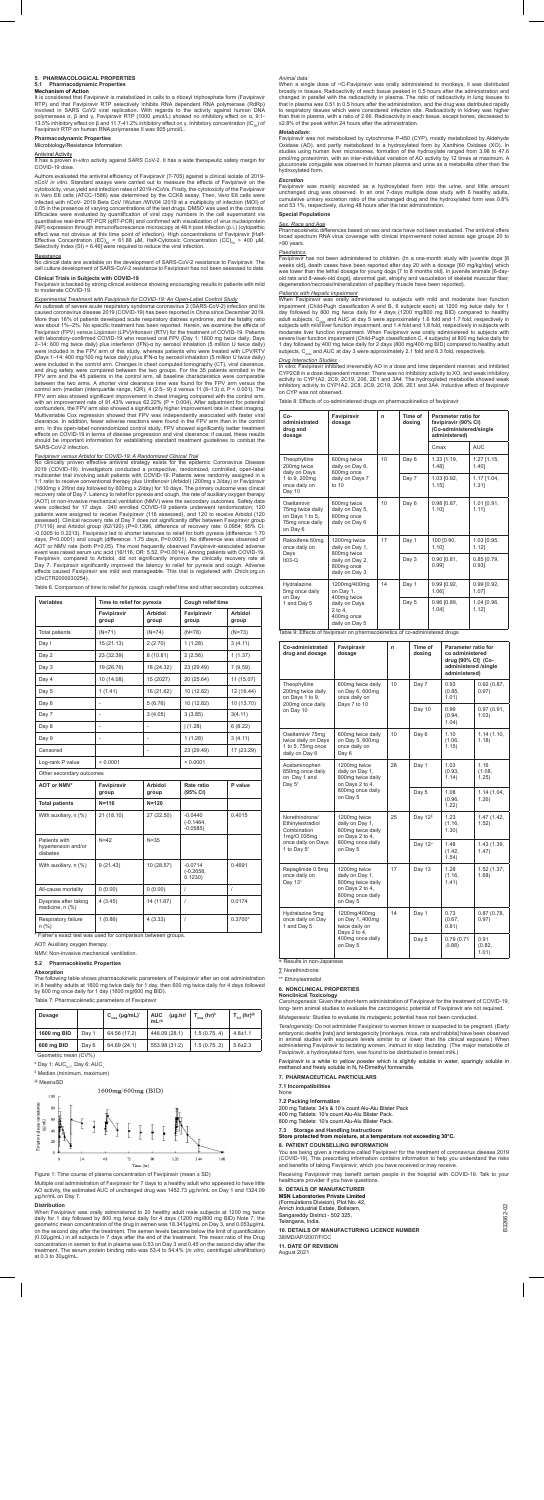B32662-02

332662-02

## **5. PHARMACOLOGICAL PROPERTIES**

## **5.1 Pharmacodynamic Properties Mechanism of Action**

It is considered that Favipiravir is metabolized in cells to a ribosyl triphosphate form (Favipiravir RTP) and that Favipiravir RTP selectively inhibits RNA dependent RNA polymerase (RdRp) involved in SARS CoV2 viral replication. With regards to the activity against human DNA polymerases α, β and γ, Favipiravir RTP (1000 μmol/L) showed no inhibitory effect on α, 9.1-<br>13.5% inhibitory effect on β and 11.7-41.2% inhibitory effect on γ. Inhibitory concentration (IC<sub>so</sub>) of<br>Favipiravir RTP on huma

## **Pharmacodynamic Properties**  Microbiology/Resistance Information

A<u>ntiviral Activity</u><br>It has a proven *in-vitro* activity against SARS CoV-2. It has a wide therapeutic safety margin for<br>COVID-19 dose.

Authors evaluated the antiviral efficiency of Favipiravir (T-705) against a clinical isolate of 2019-<br>nCoV *in vitro*. Standard assays were carried out to measure the effects of Favipiravir on the<br>cytotoxicity, virus yield in Vero E6 cells (ATCC-1586) was determined by the CCK8 assay. Then, Vero E6 cells were infected with nCoV- 2019 Beta CoV /Wuhan /WIV04 /2019 at a multiplicity of infection (MOI) of 0.05 in the presence of varying concentrations of the test drugs. DMSO was used in the controls.<br>Efficacies were evaluated by quantification of viral copy numbers in the cell supernatant via<br>quantitative real-time RT-PCR effect was not obvious at this time point of infection). High concentrations of Favipiravir [Half-<br>Effective Concentration (EC)<sub>so</sub> = 61.88 μM, Half-Cytotoxic Concentration (CC)<sub>so</sub> > 400 μM,<br>Selectivity Index (SI) > 6.46]

<u>Resistance</u><br>No clinical data are available on the development of SARS-CoV-2 resistance to Favipiravir. The<br>cell culture development of SARS-CoV-2 resistance to Favipiravir has not been assessed to date. **Clinical Trials in Subjects with COVID-19**

Experimental Treatment with Favipiravir for COVID-19: An Open-Label Control Study<br>considers and the cause discussion caused consider a caused coronavirus disease do the caused coronavirus disease 2019 (COVID-19) has been r with laboratory-confirmed COVID-19 who received oral FPV (Day 1: 1600 mg twice daily; Days<br>2–14: 600 mg twice daily) plus interferon (IFN)-α by aerosol inhalation (5 million U twice daily)<br>were included in the FPV arm of t were included in the control arm. Changes in chest computed tomography (CT), viral clearance, and drug safety were compared between the two groups. For the 35 patients enrolled in the FPV arm and the 45 patients in the control arm, all baseline characteristics were comparable<br>between the two arms. A shorter viral clearance time was found for the FPV arm versus the<br>control arm (median (interquartile ran confounders, the FPV arm also showed a significantly higher improvement rate in chest imaging.<br>Multivariable Cox regression showed that FPV was independently associated with faster viral<br>clearance. In addition, fewer adver should be important information for establishing standard treatment guidelines to combat the SARS-CoV-2 infection.

Favipiravir is backed by strong clinical evidence showing encouraging results in patients with mild to moderate COVID-19.

*E<u>avipiravir versus Arbidol for COVID-19: A Randomized Clinical Trial<br>No clinically proven effective antiviral strategy exists for the epidemic Coronavirus Disease<br>2019 (COVID-19). Investigators conducted a prospective, r*</u> 1:1 ratio to receive conventional therapy plus Umifenovir (Arbidol) (200mg x 3/day) or Favipiravir<br>(1600mg x 2/first day followed by 600mg x 2/day) for 10 days. The primary outcome was clinical<br>recovery rate of Day 7. Late assessed). Clinical recovery rate of Day 7 does not significantly differ between Favipiravir group<br>(71/116) and Arbidol group (62/120) (P=0.1396, difference of recovery rate: 0.0954; 95% Cl:<br>(70.10305 to 0.2213). Favipirav Favipiravir, compared to Arbidol, did not significantly improve the clinically recovery rate at<br>Day 7. Favipiravir significantly improved the latency to relief for pyrexia and cough. Adverse<br>effects caused Favipiravir are (ChiCTR2000030254).

When Favipiravir was orally administered to 20 healthy adult male subjects at 1200 mg Wice<br>daily for 1 day followed by 800 mg twice daily for 4 days (1200 mg/800 mg BID) Note 7, the<br>geometric mean concentration of the drug concentration in semen to that in plasma was 0.53 on Day 3 and 0.45 on the second day after the treatment. The serum protein binding ratio was 53.4 to 54.4% (*in vitro*, centrifugal ultrafiltration) at 0.3 to 30μg/mL.

**× Results in non-Japane** 

When a single dose of "C-Favipiravir was orally administered to monkeys, it was distributed<br>broadly in tissues. Radioactivity of each tissue peaked in 0.5 hours after the administration and<br>changed in parallel with the rad that in plasma was 0.51 in 0.5 hours after the administration, and the drug was distributed rapidly to respiratory tissues which were considered infection site. Radioactivity in kidney was higher than that in plasma, with a ratio of 2.66. Radioactivity in each tissue, except bones, decreased to ≤2.8% of the peak within 24 hours after the administration.

Metabolism:<br>Favipiravir was not metabolized by cytochrome P-450 (CYP), mostly metabolized by Aldehyde<br>Oxidase (AO), and partly metabolized to a hydroxylated form by Xanthine Oxidase (XO). In<br>studies using human liver micro pmol/mg protein/min, with an inter-individual variation of AO activity by 12 times at maximum. A glucuronate conjugate was observed in human plasma and urine as a metabolite other than the hydroxylated form.

Paediatrics<br>Faviniravir has not been administered to children. (In a one-month study with juvenile dogs [8 Favipiravir has not been administered to children. (In a one-month study with juvenile dogs [8]<br>weeks old], death cases have been reported after day 20 with a dosage [60 mg/kg/day] which<br>was lower than the lethal dosage fo degeneration/necrosis/mineralization of papillary muscle have been reported).

In vitro: Favipiravir inhibited irreversibly AO in a dose and time dependent manner, and inhibited CYP2C8 in a dose dependent manner. There was no inhibitory activity to XO, and weak inhibitory activity to CYP1A2, 2C9, 2C19, 206, 2E1 and 3A4. The hydroxylated metabolite showed weak<br>inhibitory activity to CYP1A2, 2C8, 2C9, 2C19, 2D6, 2E1 and 3A4. Inductive effect of favipiravir<br>on CYP was not observed.

| Table 6. Comparison of time to relief for pyrexia, cough relief time and other secondary outcomes. |  |  |  |  |
|----------------------------------------------------------------------------------------------------|--|--|--|--|
|                                                                                                    |  |  |  |  |

| Variables                                        | Time to relief for pyrexia |                  |                                       | Cough relief time |  |  |
|--------------------------------------------------|----------------------------|------------------|---------------------------------------|-------------------|--|--|
|                                                  | Favipiravir<br>group       | Arbidol<br>group | Favipiravir<br>group                  | Arbidol<br>group  |  |  |
| <b>Total patients</b>                            | $(N=71)$                   | $(N=74)$         | $(N=78)$                              | $(N=73)$          |  |  |
| Day I                                            | 15(21.13)                  | 2(2.70)          | 1(1.28)                               | 3(4.11)           |  |  |
| Day 2                                            | 23 (32.39)                 | 8(10.81)         | 2(2.56)                               | 1(1.37)           |  |  |
| Day 3                                            | 19 (26.76)                 | 18 (24.32)       | 23 (29.49)                            | 7(9.59)           |  |  |
| Day 4                                            | 10 (14.08)                 | 15 (2027)        | 20 (25.64)                            | 11 (15.07)        |  |  |
| Day 5                                            | 1(1.41)                    | 16 (21.62)       | 10 (12.82)                            | 12 (16.44)        |  |  |
| Day 6                                            | L,                         | 5(6.76)          | 10 (12.82)                            | 10 (13.70)        |  |  |
| Day 7                                            |                            | 3(4.05)          | 3(3.85)                               | 3(4.11)           |  |  |
| Day 8                                            | L,                         | L,               | (1.28)                                | 6(8.22)           |  |  |
| Day 9                                            | ä,                         | ä,               | 1(1.28)                               | 3(4.11)           |  |  |
| Censored                                         |                            |                  | 23 (29.49)                            | 17 (23.29)        |  |  |
| Log-rank P value                                 | < 0.0001                   |                  | < 0.0001                              |                   |  |  |
| Other secondary outcomes                         |                            |                  |                                       |                   |  |  |
| AOT or NMV*                                      | Favipiravir<br>group       | Arbidol<br>group | Rate ratio<br>(95% CI)                | P value           |  |  |
| <b>Total patients</b>                            | $N = 116$                  | $N = 120$        |                                       |                   |  |  |
| With auxiliary, n (%)                            | 21 (18.10)                 | 27 (22.50)       | $-0.0440$<br>$(-0.1464,$<br>$-0.0585$ | 0.4015            |  |  |
| Patients with<br>hypertension and/or<br>diabetes | $N=42$                     | $N = 35$         |                                       |                   |  |  |
| With auxiliary, n (%)                            | 9(21.43)                   | 10 (28.57)       | $-0.0714$<br>$(-0.2658,$<br>0.1230)   | 0.4691            |  |  |

| All-cause mortality                                           | 0(0.00) | 0(0.00)    |  |           |  |  |
|---------------------------------------------------------------|---------|------------|--|-----------|--|--|
| Dyspnea after taking<br>medicine, n (%)                       | 4(3.45) | 14 (11.67) |  | 0.0174    |  |  |
| Respiratory failure<br>n(%)                                   | 1(0.86) | 4(3.33)    |  | $0.3700*$ |  |  |
| * Fisher's exact test was used for comparison between groups. |         |            |  |           |  |  |

AOT: Auxiliary oxygen therapy.

NMV: Non-invasive mechanical ventilation.

### **5.2 Pharmacokinetic Properties**

### **Absorption**

The following table shows pharmacokinetic parameters of Favipiravir after an oral administration<br>in 8 healthy adults at 1600 mg twice daily for 1 day, then 600 mg twice daily for 4 days followed<br>by 600 mg once daily for 1

Table 7: Pharmacokinetic parameters of Favipiravir

| Dosage      |       | $C_{\text{max}}$ (µg/mL) <sup>*</sup> | $(\mu g.hr/$<br><b>AUC</b><br>$mL$ <sup>**</sup> | $_{max}$ (hr) <sup>s</sup> | $\mathsf{T}_{\scriptscriptstyle{1D}}$ (hr)® |
|-------------|-------|---------------------------------------|--------------------------------------------------|----------------------------|---------------------------------------------|
| 1600 mg BID | Day 1 | 64.56 (17.2)                          | 446.09 (28.1)                                    | 1.5(0.75, 4)               | $4.8 + 1.1$                                 |
| 600 mg BID  | Day 6 | 64.69 (24.1)                          | 553.98 (31.2)                                    | 1.5(0.75, 2)               | $5.6 + 2.3$                                 |

\* Geometric mean (CV%)

- # Day 1: AUC<sub>Օ⊶</sub>, Day 6: AUC<sub>յ</sub>
- <sup>s</sup> Median (minimum, maximum)

@ Mean±SD



Figure 1: Time course of plasma concentration of Favipiravir (mean ± SD)

Multiple oral administration of Favipiravir for 7 days to a healthy adult who appeared to have little AO activity, the estimated AUC of unchanged drug was 1452.73 μg.hr/mL on Day 1 and 1324.09 μg.hr/mL on Day 7.

### **Distribution**

### *Animal data:*

*Excretion* was mainly excreted as a hydroxylated form into the urine, and little amount unchanged drug was observed. In an oral 7-days multiple dose study with 6 healthy adults, cumulative urinary excretion ratio of the unchanged drug and the hydroxylated form was 0.8% and 53.1%, respectively, during 48 hours after the last administration.

## **Special Populations**

*Sex, Race and Age* Pharmacokinetic differences based on sex and race have not been evaluated. The antiviral offers broad spectrum RNA virus coverage with clinical improvement noted across age groups 20 to >90 years.

## *Patients with Hepatic impairment*

When Favipiravir was orally administered to subjects with mild and moderate liver function impairment (Child-Pugh classification A and B, 6 subjects each) at 1200 mg twice daily for 1 day followed by 800 mg twice daily fo severe liver function impairment (Child-Pugh classification C, 4 subjects) at 800 mg twice daily for<br>1 day followed by 400 mg twice daily for 2 days (800 mg/400 mg BID) compared to healthy adult<br>subjects, C<sub>max</sub> and AUC at

## *Drug Interaction Studies*

Table 8: Effects of co-administered drugs on pharmacokinetics of favipiravir

| Co-<br>administrated<br>drug and<br>dosage                                        | Favipiravir<br>dosage                                                   | n  | Time of<br>dosina | Parameter ratio for<br>favipiravir (90% CI)<br>(Co-administered/single<br>administered) |                           |  |
|-----------------------------------------------------------------------------------|-------------------------------------------------------------------------|----|-------------------|-----------------------------------------------------------------------------------------|---------------------------|--|
|                                                                                   |                                                                         |    |                   | Cmax                                                                                    | <b>AUC</b>                |  |
| Theophylline<br>200mg twice<br>daily on Days                                      | 600mg twice<br>daily on Day 6,<br>600mg once                            | 10 | Day 6             | 1.33 [1.19,<br>1.48]                                                                    | $1.27$ [1.15,<br>$1.40$ ] |  |
| 1 to 9, 200mg<br>once daily on<br>Day 10                                          | daily on Days 7<br>to $10$                                              |    | Day 7             | 1.03 [0.92,<br>$1.15$ ]                                                                 | $1.17$ $[1.04]$<br>1.311  |  |
| Oseltamivir<br>75mg twice daily<br>on Davs 1 to 5.<br>75mg once daily<br>on Day 6 | 600mg twice<br>daily on Day 5,<br>600mg once<br>daily on Day 6          | 10 | Day 6             | 0.98 [0.87.<br>1.101                                                                    | 1.01 [0.91,<br>1.111      |  |
| Raloxifene 60mg<br>once daily on                                                  | 1200mg twice<br>daily on Day 1,                                         | 17 | Day 1             | 100 [0.90,<br>1.101                                                                     | 1.03 [0.95,<br>1.121      |  |
| Days<br>$ItO3-O$                                                                  | 800mg twice<br>daily on Day 2.<br>800mg once<br>daily on Day 3          |    | Day 3             | $0.90$ $[0.81,$<br>0.991                                                                | $0.85$ $[0.79,$<br>0.931  |  |
| Hydralazine<br>5mg once daily                                                     | 1200mg/400mg<br>on Day 1,                                               | 14 | Day 1             | 0.99 [0.92,<br>1.061                                                                    | 0.99 [0.92,<br>1.071      |  |
| on Day<br>1 and Day 5                                                             | 400mg twice<br>daily on Days<br>2 to 4.<br>400mg once<br>daily on Day 5 |    | Day 5             | 0.96 [0.89,<br>1.041                                                                    | 1.04 [0.96,<br>1.121      |  |

Table 9: Effects of favipiravir on pharmacokinetics of co-administered drugs

| Co-administrated<br>drug and dosage                                                                   | Favipiravir<br>dosage                                                                                   | n  | Time of<br>dosing | Parameter ratio for<br>co administered<br>drug [90% CI] (Co-<br>administered /single<br>administered) |                         |
|-------------------------------------------------------------------------------------------------------|---------------------------------------------------------------------------------------------------------|----|-------------------|-------------------------------------------------------------------------------------------------------|-------------------------|
| Theophylline<br>200mg twice daily<br>on Days 1 to 9,<br>200mg once daily<br>on Day 10                 | 600mg twice daily<br>on Day 6, 600mg<br>once daily on<br>Days 7 to 10                                   | 10 | Day 7             | 0.93<br>(0.85,<br>1.01)                                                                               | 0.92(0.87,<br>0.97)     |
|                                                                                                       |                                                                                                         |    | Day 10            | 0.99<br>(0.94,<br>1.04)                                                                               | 0.97(0.91,<br>1.03)     |
| Oseltamivir 75mg<br>twice daily on Days<br>1 to 5, 75mg once<br>daily on Day 6                        | 600mg twice daily<br>on Day 5, 600mg<br>once daily on<br>Day 6                                          | 10 | Day 6             | 1.10<br>(1.06,<br>1.15)                                                                               | 1.14(1.10,<br>1.18      |
| Acetaminophen<br>650mg once daily<br>on Day 1 and<br>Day 5 <sup>x</sup>                               | 1200mg twice<br>daily on Day 1,<br>800mg twice daily<br>on Days 2 to 4,<br>800mg once daily<br>on Day 5 | 28 | Day 1             | 1.03<br>(0.93.<br>1.14)                                                                               | 1.16<br>(1.08,<br>1.25) |
|                                                                                                       |                                                                                                         |    | Day 5             | 1.08<br>(0.96,<br>1.22)                                                                               | 1.14 (1.04,<br>1.26     |
| Norethindrone/<br>Ethinylestradiol<br>Combination<br>1mg/O.035mg<br>once daily on Days<br>1 to Day 5* | 1200mg twice<br>daily on Day 1,<br>800mg twice daily<br>on Days 2 to 4,<br>800mg once daily<br>on Day 5 | 25 | Day 12 $\Sigma$   | 1.23<br>(1.16.<br>1.30)                                                                               | 1.47 (1.42,<br>1.52)    |
|                                                                                                       |                                                                                                         |    | Day 12"           | 1.48<br>(1.42,<br>1.54)                                                                               | 1.43 (1.39,<br>1.47)    |
| Repaglinide 0.5mg<br>once daily on<br>Day 13*                                                         | 1200mg twice<br>daily on Day 1,<br>800mg twice daily<br>on Days 2 to 4,<br>800mg once daily<br>on Day 5 | 17 | Day 13            | 1.28<br>(1.16,<br>1.41)                                                                               | 1.52(1.37,<br>1.68      |
| Hydralazine 5mg<br>once daily on Day<br>1 and Day 5                                                   | 1200mg/400mg<br>on Day 1, 400mg<br>twice daily on<br>Days 2 to 4,<br>400mg once daily<br>on Day 5       | 14 | Day 1             | 0.73<br>(0.67.<br>0.81)                                                                               | 0.87(0.78,<br>0.97)     |
|                                                                                                       |                                                                                                         |    | Day 5             | 0.79 (0.71<br>(88.0, 0)                                                                               | 0.91<br>(0.82.<br>1.01) |

∑ Norethindrone

\*\* Ethinylestradiol

## **6. NONCLINICAL PROPERTIES**

**Nonclinical Toxicology** *Carcinogenesis:* Given the short-term administration of Favipiravir for the treatment of COVID-19, long- term animal studies to evaluate the carcinogenic potential of Favipiravir are not required.

*Mutagenesis:* Studies to evaluate its mutagenic potential have not been conducted.

*Teratogenicity:* Do not administer Favipiravir to women known or suspected to be pregnant. (Early embryonic deaths [rats] and teratogenicity [monkeys, mice, rats and rabbits] have been observed<br>in animal studies with exposure levels similar to or lower than the clinical exposure.) When<br>administering Favipiravir to lact Favipiravir, a hydroxylated form, was found to be distributed in breast milk.)

Favipiravir is a white to yellow powder which is slightly soluble in water, sparingly soluble in methanol and freely soluble in N, N-Dimethyl formamide.

**7. PHARMACEUTICAL PARTICULARS**

**7.1 Incompatibilities**

None

## **7.2 Packing Inform**

200 mg Tablets: 34's & 10's count Alu-Alu Blister Pack 400 mg Tablets: 10's count Alu-Alu Blister Pack. 800 mg Tablets: 10's count Alu-Alu Blister Pack.

## **7.3 Storage and Handling Instructions Store protected from moisture, at a temperature not exceeding 30°C.**

## **8. PATIENT COUNSELLING INFORMATION**

You are being given a medicine called Favipiravir for the treatment of coronavirus disease 2019 (COVID-19). This prescribing information contains information to help you understand the risks and benefits of taking Favipiravir, which you have received or may receive.

Receiving Favipiravir may benefit certain people in the hospital with COVID-19. Talk to your<br>healthcare provider if you have questions healthcare may accure come to

### **9. DETAILS OF MANUFACTURER**

| <b>MSN Laboratories Private Limited</b><br>(Formulations Division), Plot No. 42, |  |
|----------------------------------------------------------------------------------|--|
| Anrich Industrial Estate, Bollaram.                                              |  |
| Sangareddy District - 502 325,<br>Telangana, India.                              |  |
| <b>10. DETAILS OF MANUFACTURING LICENCE NUMBER</b><br>38/MD/AP/2007/F/CC         |  |

**11. DATE OF REVISION**  August 2021